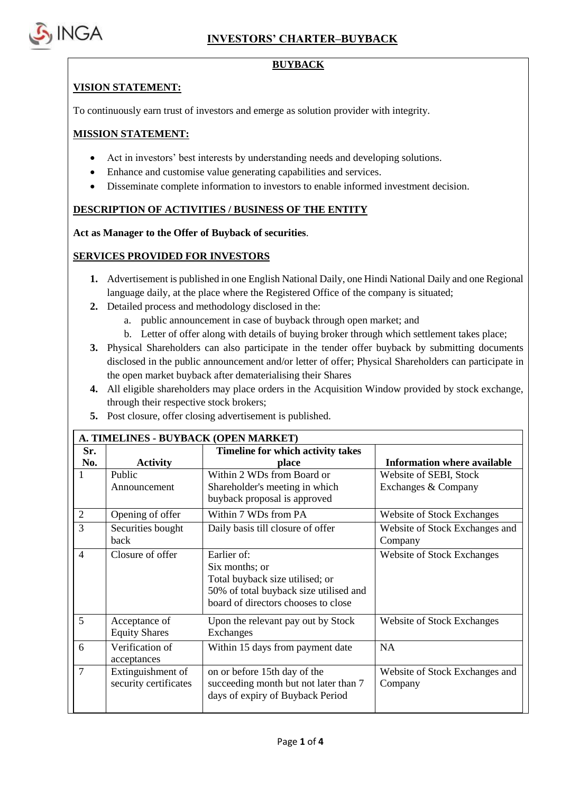

### **BUYBACK**

#### **VISION STATEMENT:**

To continuously earn trust of investors and emerge as solution provider with integrity.

#### **MISSION STATEMENT:**

- Act in investors' best interests by understanding needs and developing solutions.
- Enhance and customise value generating capabilities and services.
- Disseminate complete information to investors to enable informed investment decision.

### **DESCRIPTION OF ACTIVITIES / BUSINESS OF THE ENTITY**

**Act as Manager to the Offer of Buyback of securities**.

### **SERVICES PROVIDED FOR INVESTORS**

- **1.** Advertisement is published in one English National Daily, one Hindi National Daily and one Regional language daily, at the place where the Registered Office of the company is situated;
- **2.** Detailed process and methodology disclosed in the:
	- a. public announcement in case of buyback through open market; and
	- b. Letter of offer along with details of buying broker through which settlement takes place;
- **3.** Physical Shareholders can also participate in the tender offer buyback by submitting documents disclosed in the public announcement and/or letter of offer; Physical Shareholders can participate in the open market buyback after dematerialising their Shares
- **4.** All eligible shareholders may place orders in the Acquisition Window provided by stock exchange, through their respective stock brokers;
- **5.** Post closure, offer closing advertisement is published.

| A. TIMELINES - BUYBACK (OPEN MARKET) |                                            |                                                                                                                                                   |                                               |  |  |  |
|--------------------------------------|--------------------------------------------|---------------------------------------------------------------------------------------------------------------------------------------------------|-----------------------------------------------|--|--|--|
| Sr.<br>No.                           | <b>Activity</b>                            | Timeline for which activity takes<br>place                                                                                                        | <b>Information where available</b>            |  |  |  |
| 1                                    | Public<br>Announcement                     | Within 2 WDs from Board or<br>Shareholder's meeting in which<br>buyback proposal is approved                                                      | Website of SEBI, Stock<br>Exchanges & Company |  |  |  |
| 2                                    | Opening of offer                           | Within 7 WDs from PA                                                                                                                              | <b>Website of Stock Exchanges</b>             |  |  |  |
| 3                                    | Securities bought<br>back                  | Daily basis till closure of offer                                                                                                                 | Website of Stock Exchanges and<br>Company     |  |  |  |
| $\overline{4}$                       | Closure of offer                           | Earlier of:<br>Six months; or<br>Total buyback size utilised; or<br>50% of total buyback size utilised and<br>board of directors chooses to close | <b>Website of Stock Exchanges</b>             |  |  |  |
| 5                                    | Acceptance of<br><b>Equity Shares</b>      | Upon the relevant pay out by Stock<br>Exchanges                                                                                                   | <b>Website of Stock Exchanges</b>             |  |  |  |
| 6                                    | Verification of<br>acceptances             | Within 15 days from payment date                                                                                                                  | <b>NA</b>                                     |  |  |  |
| $\overline{7}$                       | Extinguishment of<br>security certificates | on or before 15th day of the<br>succeeding month but not later than 7<br>days of expiry of Buyback Period                                         | Website of Stock Exchanges and<br>Company     |  |  |  |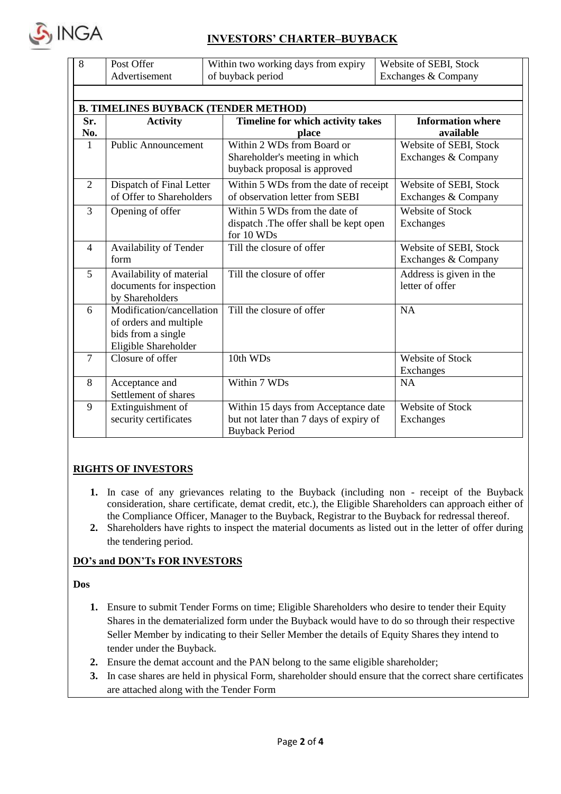

# **INVESTORS' CHARTER–BUYBACK**

| 8              | Post Offer<br>Advertisement                                                                       | Within two working days from expiry<br>of buyback period                                               | Website of SEBI, Stock<br>Exchanges & Company |  |  |  |  |  |  |
|----------------|---------------------------------------------------------------------------------------------------|--------------------------------------------------------------------------------------------------------|-----------------------------------------------|--|--|--|--|--|--|
|                | <b>B. TIMELINES BUYBACK (TENDER METHOD)</b>                                                       |                                                                                                        |                                               |  |  |  |  |  |  |
| Sr.<br>No.     | <b>Activity</b>                                                                                   | Timeline for which activity takes<br>place                                                             | <b>Information where</b><br>available         |  |  |  |  |  |  |
| $\mathbf{1}$   | <b>Public Announcement</b>                                                                        | Within 2 WDs from Board or<br>Shareholder's meeting in which<br>buyback proposal is approved           | Website of SEBI, Stock<br>Exchanges & Company |  |  |  |  |  |  |
| $\overline{2}$ | Dispatch of Final Letter<br>of Offer to Shareholders                                              | Within 5 WDs from the date of receipt<br>of observation letter from SEBI                               | Website of SEBI, Stock<br>Exchanges & Company |  |  |  |  |  |  |
| 3              | Opening of offer                                                                                  | Within 5 WDs from the date of<br>dispatch .The offer shall be kept open<br>for 10 WDs                  | Website of Stock<br>Exchanges                 |  |  |  |  |  |  |
| $\overline{4}$ | Availability of Tender<br>form                                                                    | Till the closure of offer                                                                              | Website of SEBI, Stock<br>Exchanges & Company |  |  |  |  |  |  |
| 5              | Availability of material<br>documents for inspection<br>by Shareholders                           | Till the closure of offer                                                                              | Address is given in the<br>letter of offer    |  |  |  |  |  |  |
| 6              | Modification/cancellation<br>of orders and multiple<br>bids from a single<br>Eligible Shareholder | Till the closure of offer                                                                              | <b>NA</b>                                     |  |  |  |  |  |  |
| $\tau$         | Closure of offer                                                                                  | 10th WDs                                                                                               | <b>Website of Stock</b><br>Exchanges          |  |  |  |  |  |  |
| 8              | Acceptance and<br>Settlement of shares                                                            | Within 7 WDs                                                                                           | <b>NA</b>                                     |  |  |  |  |  |  |
| 9              | Extinguishment of<br>security certificates                                                        | Within 15 days from Acceptance date<br>but not later than 7 days of expiry of<br><b>Buyback Period</b> | <b>Website of Stock</b><br><b>Exchanges</b>   |  |  |  |  |  |  |

## **RIGHTS OF INVESTORS**

- **1.** In case of any grievances relating to the Buyback (including non receipt of the Buyback consideration, share certificate, demat credit, etc.), the Eligible Shareholders can approach either of the Compliance Officer, Manager to the Buyback, Registrar to the Buyback for redressal thereof.
- **2.** Shareholders have rights to inspect the material documents as listed out in the letter of offer during the tendering period.

## **DO's and DON'Ts FOR INVESTORS**

#### **Dos**

- **1.** Ensure to submit Tender Forms on time; Eligible Shareholders who desire to tender their Equity Shares in the dematerialized form under the Buyback would have to do so through their respective Seller Member by indicating to their Seller Member the details of Equity Shares they intend to tender under the Buyback.
- **2.** Ensure the demat account and the PAN belong to the same eligible shareholder;
- **3.** In case shares are held in physical Form, shareholder should ensure that the correct share certificates are attached along with the Tender Form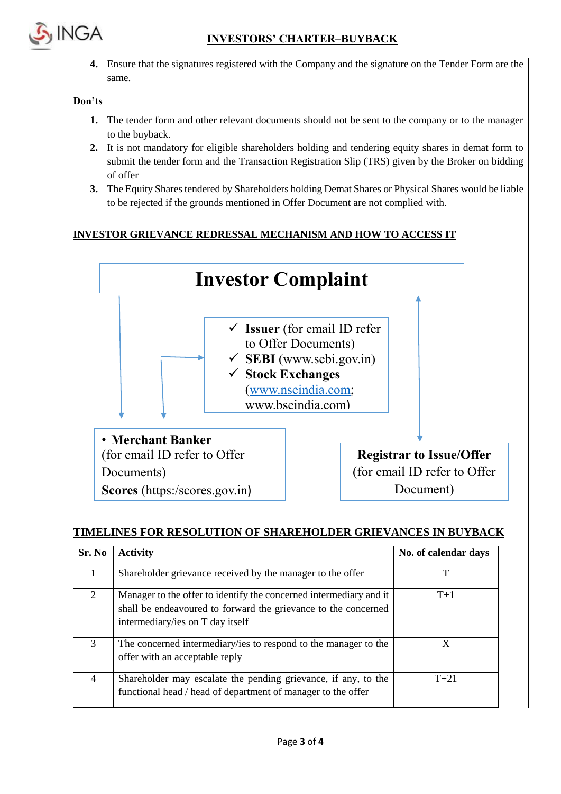

**4.** Ensure that the signatures registered with the Company and the signature on the Tender Form are the same.

#### **Don'ts**

- **1.** The tender form and other relevant documents should not be sent to the company or to the manager to the buyback.
- **2.** It is not mandatory for eligible shareholders holding and tendering equity shares in demat form to submit the tender form and the Transaction Registration Slip (TRS) given by the Broker on bidding of offer
- **3.** The Equity Shares tendered by Shareholders holding Demat Shares or Physical Shares would be liable to be rejected if the grounds mentioned in Offer Document are not complied with.

## **INVESTOR GRIEVANCE REDRESSAL MECHANISM AND HOW TO ACCESS IT**



## **TIMELINES FOR RESOLUTION OF SHAREHOLDER GRIEVANCES IN BUYBACK**

| Sr. No | <b>Activity</b>                                                                                                                                                          | No. of calendar days |
|--------|--------------------------------------------------------------------------------------------------------------------------------------------------------------------------|----------------------|
|        | Shareholder grievance received by the manager to the offer                                                                                                               | т                    |
| 2      | Manager to the offer to identify the concerned intermediary and it<br>shall be endeavoured to forward the grievance to the concerned<br>intermediary/ies on T day itself | $T+1$                |
| 3      | The concerned intermediary/ies to respond to the manager to the<br>offer with an acceptable reply                                                                        | X                    |
| 4      | Shareholder may escalate the pending grievance, if any, to the<br>functional head / head of department of manager to the offer                                           | $T + 21$             |